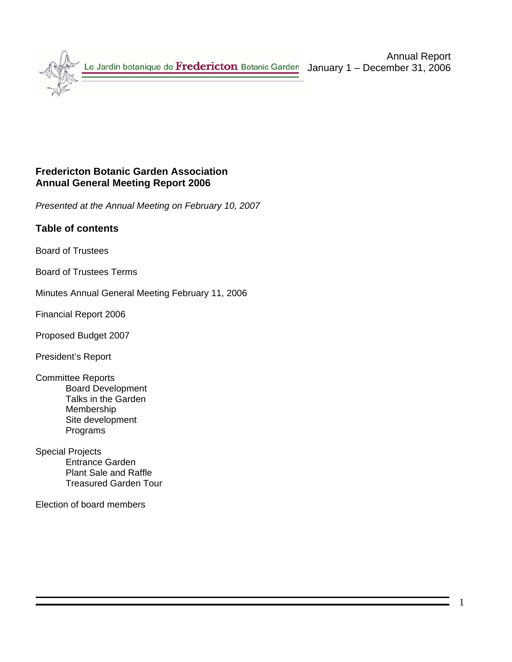# **Fredericton Botanic Garden Association Annual General Meeting Report 2006**

*Presented at the Annual Meeting on February 10, 2007* 

# **Table of contents**

Board of Trustees

Board of Trustees Terms

Minutes Annual General Meeting February 11, 2006

Financial Report 2006

Proposed Budget 2007

President's Report

- Committee Reports Board Development Talks in the Garden Membership Site development Programs
- Special Projects Entrance Garden Plant Sale and Raffle Treasured Garden Tour

Election of board members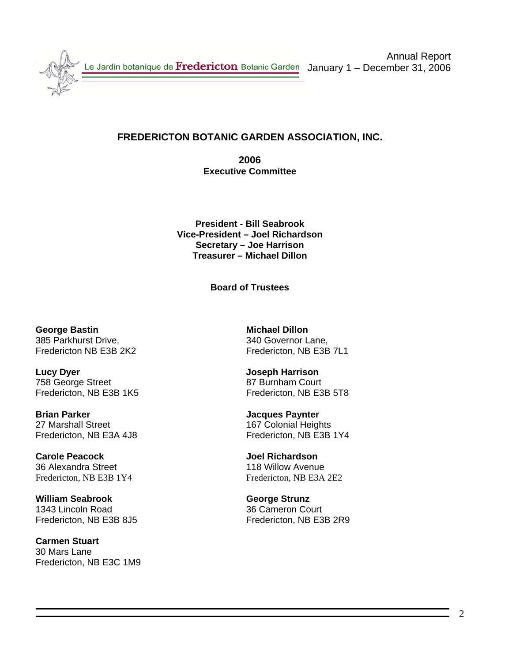

Annual Report January 1 – December 31, 2006

# **FREDERICTON BOTANIC GARDEN ASSOCIATION, INC.**

**2006 Executive Committee** 

**President - Bill Seabrook Vice-President – Joel Richardson Secretary – Joe Harrison Treasurer – Michael Dillon** 

**Board of Trustees** 

**George Bastin Communist Communist Communist Communist Communist Communist Communist Communist Communist Communist Communist Communist Communist Communist Communist Communist Communist Communist Communist Communist Communi** 385 Parkhurst Drive, 340 Governor Lane,

**Lucy Dyer Lucy Over 19 and 19 and 19 and 19 and 19 and 19 and 19 and 19 and 19 and 19 and 19 and 19 and 19 and 19 and 19 and 19 and 19 and 19 and 19 and 19 and 19 and 19 and 19 and 19 and 19 and 19 and 19 and 19 and 19** 758 George Street 87 Burnham Court<br>
Fredericton, NB E3B 1K5 87 Burnham Court<br>
Fredericton, NB E3B 1K5

**Brian Parker Community Community Community Paynt Series Paynter** 27 Marshall Street 167 Colonial Heights

**Carole Peacock Joel Richardson** 36 Alexandra Street 118 Willow Avenue Fredericton, NB E3B 1Y4 Fredericton, NB E3A 2E2

**William Seabrook George Strunz** 1343 Lincoln Road 36 Cameron Court

**Carmen Stuart** 30 Mars Lane Fredericton, NB E3C 1M9

Fredericton NB E3B 2K2 Fredericton, NB E3B 7L1

Fredericton, NB E3B 5T8

Fredericton, NB E3A 4J8 Fredericton, NB E3B 1Y4

Fredericton, NB E3B 8J5 Fredericton, NB E3B 2R9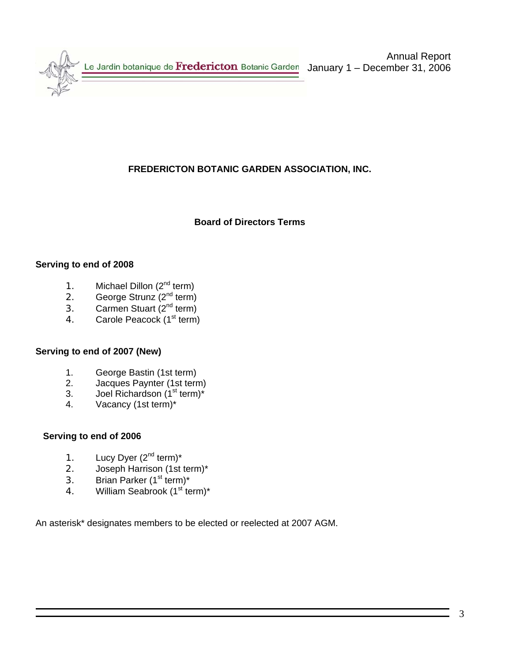

Annual Report January 1 – December 31, 2006

# **FREDERICTON BOTANIC GARDEN ASSOCIATION, INC.**

### **Board of Directors Terms**

### **Serving to end of 2008**

- 1. Michael Dillon (2<sup>nd</sup> term)
- 2. George Strunz  $(2^{nd}$  term)
- 3. Carmen Stuart  $(2^{nd}$  term)
- 4. Carole Peacock (1<sup>st</sup> term)

#### **Serving to end of 2007 (New)**

- 1. George Bastin (1st term)<br>2. Jacques Pavnter (1st tern
- Jacques Paynter (1st term)
- 3. Joel Richardson  $(1<sup>st</sup> term)<sup>*</sup>$
- 4. Vacancy (1st term)\*

### **Serving to end of 2006**

- 1. Lucy Dyer  $(2^{nd}$  term)<sup>\*</sup>
- 2. Joseph Harrison (1st term)\*
- 3. Brian Parker  $(1<sup>st</sup> term)<sup>*</sup>$
- 4. William Seabrook (1<sup>st</sup> term)\*

An asterisk\* designates members to be elected or reelected at 2007 AGM.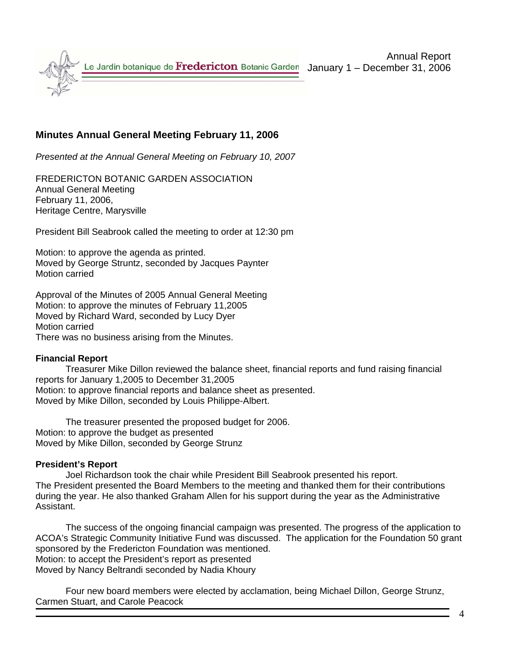

# **Minutes Annual General Meeting February 11, 2006**

*Presented at the Annual General Meeting on February 10, 2007* 

FREDERICTON BOTANIC GARDEN ASSOCIATION Annual General Meeting February 11, 2006, Heritage Centre, Marysville

President Bill Seabrook called the meeting to order at 12:30 pm

Motion: to approve the agenda as printed. Moved by George Struntz, seconded by Jacques Paynter Motion carried

Approval of the Minutes of 2005 Annual General Meeting Motion: to approve the minutes of February 11,2005 Moved by Richard Ward, seconded by Lucy Dyer Motion carried There was no business arising from the Minutes.

### **Financial Report**

Treasurer Mike Dillon reviewed the balance sheet, financial reports and fund raising financial reports for January 1,2005 to December 31,2005 Motion: to approve financial reports and balance sheet as presented. Moved by Mike Dillon, seconded by Louis Philippe-Albert.

The treasurer presented the proposed budget for 2006. Motion: to approve the budget as presented Moved by Mike Dillon, seconded by George Strunz

### **President's Report**

Joel Richardson took the chair while President Bill Seabrook presented his report. The President presented the Board Members to the meeting and thanked them for their contributions during the year. He also thanked Graham Allen for his support during the year as the Administrative Assistant.

The success of the ongoing financial campaign was presented. The progress of the application to ACOA's Strategic Community Initiative Fund was discussed. The application for the Foundation 50 grant sponsored by the Fredericton Foundation was mentioned. Motion: to accept the President's report as presented Moved by Nancy Beltrandi seconded by Nadia Khoury

 Four new board members were elected by acclamation, being Michael Dillon, George Strunz, Carmen Stuart, and Carole Peacock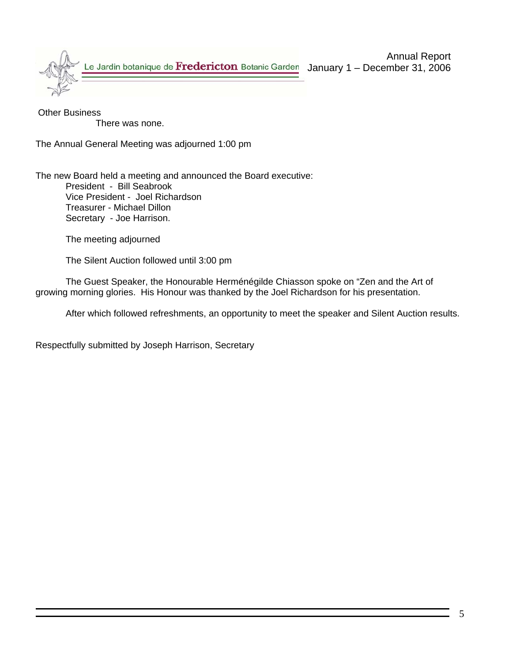

 Other Business There was none.

The Annual General Meeting was adjourned 1:00 pm

The new Board held a meeting and announced the Board executive: President - Bill Seabrook Vice President - Joel Richardson Treasurer - Michael Dillon Secretary - Joe Harrison.

The meeting adjourned

The Silent Auction followed until 3:00 pm

The Guest Speaker, the Honourable Herménégilde Chiasson spoke on "Zen and the Art of growing morning glories. His Honour was thanked by the Joel Richardson for his presentation.

After which followed refreshments, an opportunity to meet the speaker and Silent Auction results.

Respectfully submitted by Joseph Harrison, Secretary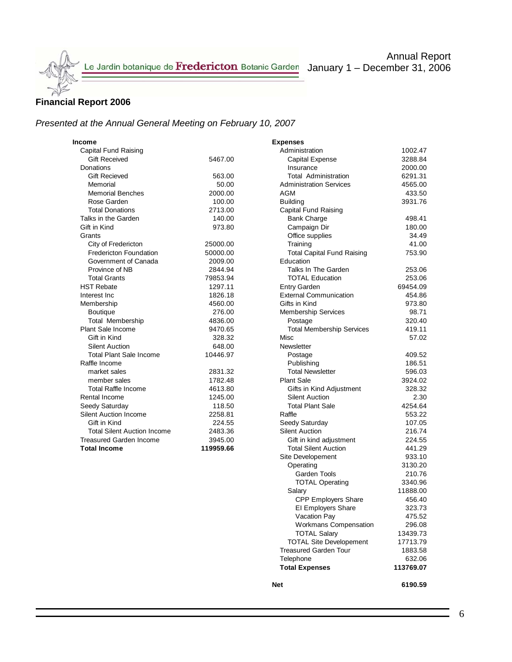### **Financial Report 2006**

# *Presented at the Annual General Meeting on February 10, 2007*

| Income                             |           | <b>Expenses</b>                   |          |
|------------------------------------|-----------|-----------------------------------|----------|
| Capital Fund Raising               |           | Administration                    | 1002.47  |
| <b>Gift Received</b>               | 5467.00   | Capital Expense                   | 3288.84  |
| Donations                          |           | Insurance                         | 2000.00  |
| <b>Gift Recieved</b>               | 563.00    | <b>Total Administration</b>       | 6291.31  |
| Memorial                           | 50.00     | <b>Administration Services</b>    | 4565.00  |
| <b>Memorial Benches</b>            | 2000.00   | <b>AGM</b>                        | 433.50   |
| Rose Garden                        | 100.00    | <b>Building</b>                   | 3931.76  |
| <b>Total Donations</b>             | 2713.00   | Capital Fund Raising              |          |
| Talks in the Garden                | 140.00    | <b>Bank Charge</b>                | 498.41   |
| Gift in Kind                       | 973.80    | Campaign Dir                      | 180.00   |
| Grants                             |           | Office supplies                   | 34.49    |
| City of Fredericton                | 25000.00  | Training                          | 41.00    |
| <b>Fredericton Foundation</b>      | 50000.00  | <b>Total Capital Fund Raising</b> | 753.90   |
| Government of Canada               | 2009.00   | Education                         |          |
| Province of NB                     | 2844.94   | Talks In The Garden               | 253.06   |
| <b>Total Grants</b>                | 79853.94  | <b>TOTAL Education</b>            | 253.06   |
| <b>HST Rebate</b>                  | 1297.11   | <b>Entry Garden</b>               | 69454.09 |
| Interest Inc                       | 1826.18   | <b>External Communication</b>     | 454.86   |
| Membership                         | 4560.00   | Gifts in Kind                     | 973.80   |
| <b>Boutique</b>                    | 276.00    | <b>Membership Services</b>        | 98.71    |
| Total Membership                   | 4836.00   | Postage                           | 320.40   |
| <b>Plant Sale Income</b>           | 9470.65   | <b>Total Membership Services</b>  | 419.11   |
| Gift in Kind                       | 328.32    | Misc                              | 57.02    |
| <b>Silent Auction</b>              | 648.00    | Newsletter                        |          |
| <b>Total Plant Sale Income</b>     | 10446.97  | Postage                           | 409.52   |
| Raffle Income                      |           | Publishing                        | 186.51   |
| market sales                       | 2831.32   | <b>Total Newsletter</b>           | 596.03   |
| member sales                       | 1782.48   | <b>Plant Sale</b>                 | 3924.02  |
| <b>Total Raffle Income</b>         | 4613.80   | Gifts in Kind Adjustment          | 328.32   |
| Rental Income                      | 1245.00   | <b>Silent Auction</b>             | 2.30     |
| Seedy Saturday                     | 118.50    | <b>Total Plant Sale</b>           | 4254.64  |
| <b>Silent Auction Income</b>       | 2258.81   | Raffle                            | 553.22   |
| Gift in Kind                       | 224.55    | Seedy Saturday                    | 107.05   |
| <b>Total Silent Auction Income</b> | 2483.36   | <b>Silent Auction</b>             | 216.74   |
| <b>Treasured Garden Income</b>     | 3945.00   | Gift in kind adjustment           | 224.55   |
| <b>Total Income</b>                | 119959.66 | <b>Total Silent Auction</b>       | 441.29   |

| <b>Expenses</b>                   |           |
|-----------------------------------|-----------|
| Administration                    | 1002.47   |
| <b>Capital Expense</b>            | 3288.84   |
| Insurance                         | 2000.00   |
| <b>Total Administration</b>       | 6291.31   |
| <b>Administration Services</b>    | 4565.00   |
| AGM                               | 433.50    |
| <b>Building</b>                   | 3931.76   |
| Capital Fund Raising              |           |
| <b>Bank Charge</b>                | 498.41    |
| Campaign Dir                      | 180.00    |
| Office supplies                   | 34.49     |
| Training                          | 41.00     |
| <b>Total Capital Fund Raising</b> | 753.90    |
| Education                         |           |
| Talks In The Garden               | 253.06    |
| <b>TOTAL Education</b>            | 253.06    |
| <b>Entry Garden</b>               | 69454.09  |
| <b>External Communication</b>     | 454.86    |
| Gifts in Kind                     | 973.80    |
| Membership Services               | 98.71     |
| Postage                           | 320.40    |
| <b>Total Membership Services</b>  | 419.11    |
| Misc                              | 57.02     |
| Newsletter                        |           |
| Postage                           | 409.52    |
| Publishing                        | 186.51    |
| <b>Total Newsletter</b>           | 596.03    |
| <b>Plant Sale</b>                 | 3924.02   |
| Gifts in Kind Adjustment          | 328.32    |
| <b>Silent Auction</b>             | 2.30      |
| <b>Total Plant Sale</b>           | 4254.64   |
| Raffle                            | 553.22    |
| Seedy Saturday                    | 107.05    |
| <b>Silent Auction</b>             | 216.74    |
| Gift in kind adjustment           | 224.55    |
| <b>Total Silent Auction</b>       | 441.29    |
| Site Developement                 | 933.10    |
| Operating                         | 3130.20   |
| Garden Tools                      | 210.76    |
| <b>TOTAL Operating</b>            | 3340.96   |
| Salary                            | 11888.00  |
| CPP Employers Share               | 456.40    |
| El Employers Share                | 323.73    |
| Vacation Pay                      | 475.52    |
| <b>Workmans Compensation</b>      | 296.08    |
| <b>TOTAL Salary</b>               | 13439.73  |
| <b>TOTAL Site Developement</b>    | 17713.79  |
| <b>Treasured Garden Tour</b>      | 1883.58   |
| Telephone                         | 632.06    |
| <b>Total Expenses</b>             | 113769.07 |
|                                   |           |

**Net** 6190.59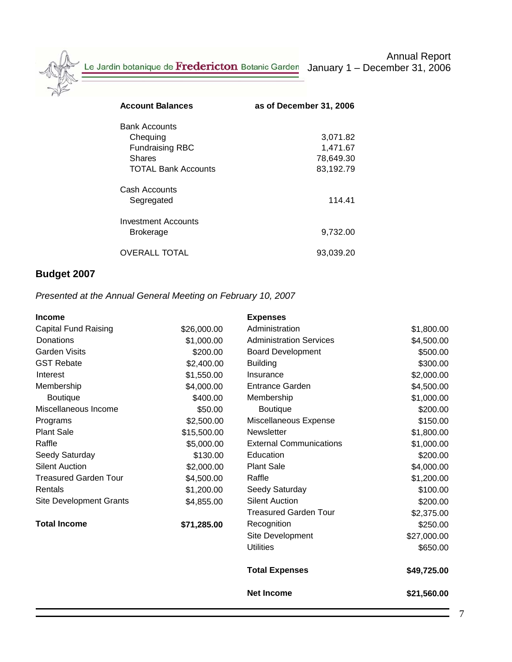Le Jardin botanique de Fredericton Botanic Garden January 1 – December 31, 2006

| <b>Account Balances</b>                                                                            | as of December 31, 2006                        |
|----------------------------------------------------------------------------------------------------|------------------------------------------------|
| <b>Bank Accounts</b><br>Chequing<br><b>Fundraising RBC</b><br>Shares<br><b>TOTAL Bank Accounts</b> | 3,071.82<br>1,471.67<br>78,649.30<br>83,192.79 |
| Cash Accounts<br>Segregated                                                                        | 114.41                                         |
| Investment Accounts<br><b>Brokerage</b>                                                            | 9,732.00                                       |
| <b>OVERALL TOTAL</b>                                                                               | 93.039.20                                      |

# **Budget 2007**

# *Presented at the Annual General Meeting on February 10, 2007*

| <b>Income</b>                  |             | <b>Expenses</b>                |             |
|--------------------------------|-------------|--------------------------------|-------------|
| <b>Capital Fund Raising</b>    | \$26,000.00 | Administration                 | \$1,800.00  |
| Donations                      | \$1,000.00  | <b>Administration Services</b> | \$4,500.00  |
| <b>Garden Visits</b>           | \$200.00    | <b>Board Development</b>       | \$500.00    |
| <b>GST Rebate</b>              | \$2,400.00  | <b>Building</b>                | \$300.00    |
| Interest                       | \$1,550.00  | Insurance                      | \$2,000.00  |
| Membership                     | \$4,000.00  | Entrance Garden                | \$4,500.00  |
| <b>Boutique</b>                | \$400.00    | Membership                     | \$1,000.00  |
| Miscellaneous Income           | \$50.00     | <b>Boutique</b>                | \$200.00    |
| Programs                       | \$2,500.00  | Miscellaneous Expense          | \$150.00    |
| <b>Plant Sale</b>              | \$15,500.00 | <b>Newsletter</b>              | \$1,800.00  |
| Raffle                         | \$5,000.00  | <b>External Communications</b> | \$1,000.00  |
| Seedy Saturday                 | \$130.00    | Education                      | \$200.00    |
| <b>Silent Auction</b>          | \$2,000.00  | <b>Plant Sale</b>              | \$4,000.00  |
| <b>Treasured Garden Tour</b>   | \$4,500.00  | Raffle                         | \$1,200.00  |
| Rentals                        | \$1,200.00  | Seedy Saturday                 | \$100.00    |
| <b>Site Development Grants</b> | \$4,855.00  | <b>Silent Auction</b>          | \$200.00    |
|                                |             | <b>Treasured Garden Tour</b>   | \$2,375.00  |
| <b>Total Income</b>            | \$71,285.00 | Recognition                    | \$250.00    |
|                                |             | Site Development               | \$27,000.00 |
|                                |             | <b>Utilities</b>               | \$650.00    |
|                                |             | <b>Total Expenses</b>          | \$49,725.00 |
|                                |             | <b>Net Income</b>              | \$21,560.00 |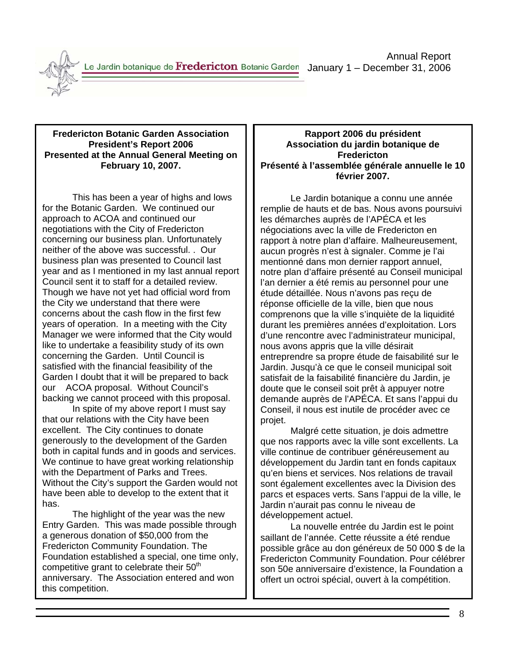Le Jardin botanique de Fredericton Botanic Garden January 1 – December 31, 2006



#### **Fredericton Botanic Garden Association President's Report 2006 Presented at the Annual General Meeting on February 10, 2007.**

This has been a year of highs and lows for the Botanic Garden. We continued our approach to ACOA and continued our negotiations with the City of Fredericton concerning our business plan. Unfortunately neither of the above was successful. . Our business plan was presented to Council last year and as I mentioned in my last annual report Council sent it to staff for a detailed review. Though we have not yet had official word from the City we understand that there were concerns about the cash flow in the first few years of operation. In a meeting with the City Manager we were informed that the City would like to undertake a feasibility study of its own concerning the Garden. Until Council is satisfied with the financial feasibility of the Garden I doubt that it will be prepared to back our ACOA proposal. Without Council's backing we cannot proceed with this proposal.

 In spite of my above report I must say that our relations with the City have been excellent. The City continues to donate generously to the development of the Garden both in capital funds and in goods and services. We continue to have great working relationship with the Department of Parks and Trees. Without the City's support the Garden would not have been able to develop to the extent that it has.

 The highlight of the year was the new Entry Garden. This was made possible through a generous donation of \$50,000 from the Fredericton Community Foundation. The Foundation established a special, one time only, competitive grant to celebrate their  $50<sup>th</sup>$ anniversary. The Association entered and won this competition.

### **Rapport 2006 du président Association du jardin botanique de Fredericton Présenté à l'assemblée générale annuelle le 10 février 2007.**

 Le Jardin botanique a connu une année remplie de hauts et de bas. Nous avons poursuivi les démarches auprès de l'APÉCA et les négociations avec la ville de Fredericton en rapport à notre plan d'affaire. Malheureusement, aucun progrès n'est à signaler. Comme je l'ai mentionné dans mon dernier rapport annuel, notre plan d'affaire présenté au Conseil municipal l'an dernier a été remis au personnel pour une étude détaillée. Nous n'avons pas reçu de réponse officielle de la ville, bien que nous comprenons que la ville s'inquiète de la liquidité durant les premières années d'exploitation. Lors d'une rencontre avec l'administrateur municipal, nous avons appris que la ville désirait entreprendre sa propre étude de faisabilité sur le Jardin. Jusqu'à ce que le conseil municipal soit satisfait de la faisabilité financière du Jardin, je doute que le conseil soit prêt à appuyer notre demande auprès de l'APÉCA. Et sans l'appui du Conseil, il nous est inutile de procéder avec ce projet.

 Malgré cette situation, je dois admettre que nos rapports avec la ville sont excellents. La ville continue de contribuer généreusement au développement du Jardin tant en fonds capitaux qu'en biens et services. Nos relations de travail sont également excellentes avec la Division des parcs et espaces verts. Sans l'appui de la ville, le Jardin n'aurait pas connu le niveau de développement actuel.

 La nouvelle entrée du Jardin est le point saillant de l'année. Cette réussite a été rendue possible grâce au don généreux de 50 000 \$ de la Fredericton Community Foundation. Pour célébrer son 50e anniversaire d'existence, la Foundation a offert un octroi spécial, ouvert à la compétition.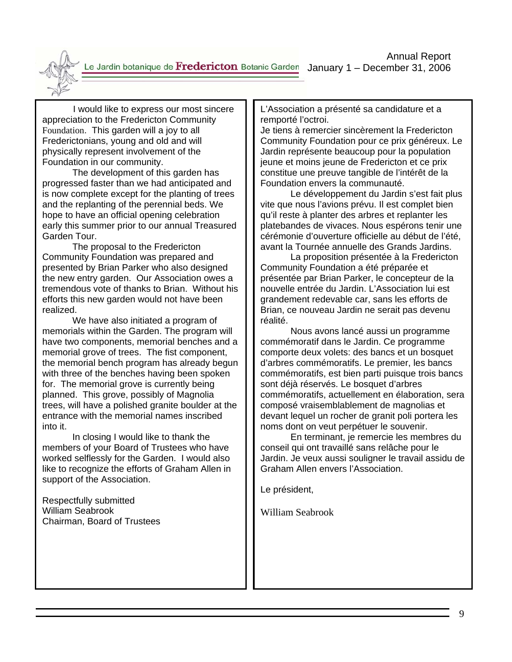Annual Report Le Jardin botanique de Fredericton Botanic Garden January 1 - December 31, 2006



 I would like to express our most sincere appreciation to the Fredericton Community Foundation. This garden will a joy to all Frederictonians, young and old and will physically represent involvement of the Foundation in our community.

 The development of this garden has progressed faster than we had anticipated and is now complete except for the planting of trees and the replanting of the perennial beds. We hope to have an official opening celebration early this summer prior to our annual Treasured Garden Tour.

 The proposal to the Fredericton Community Foundation was prepared and presented by Brian Parker who also designed the new entry garden. Our Association owes a tremendous vote of thanks to Brian. Without his efforts this new garden would not have been realized.

 We have also initiated a program of memorials within the Garden. The program will have two components, memorial benches and a memorial grove of trees. The fist component, the memorial bench program has already begun with three of the benches having been spoken for. The memorial grove is currently being planned. This grove, possibly of Magnolia trees, will have a polished granite boulder at the entrance with the memorial names inscribed into it.

 In closing I would like to thank the members of your Board of Trustees who have worked selflessly for the Garden. I would also like to recognize the efforts of Graham Allen in support of the Association.

Respectfully submitted William Seabrook Chairman, Board of Trustees L'Association a présenté sa candidature et a remporté l'octroi.

Je tiens à remercier sincèrement la Fredericton Community Foundation pour ce prix généreux. Le Jardin représente beaucoup pour la population jeune et moins jeune de Fredericton et ce prix constitue une preuve tangible de l'intérêt de la Foundation envers la communauté.

 Le développement du Jardin s'est fait plus vite que nous l'avions prévu. Il est complet bien qu'il reste à planter des arbres et replanter les platebandes de vivaces. Nous espérons tenir une cérémonie d'ouverture officielle au début de l'été, avant la Tournée annuelle des Grands Jardins.

 La proposition présentée à la Fredericton Community Foundation a été préparée et présentée par Brian Parker, le concepteur de la nouvelle entrée du Jardin. L'Association lui est grandement redevable car, sans les efforts de Brian, ce nouveau Jardin ne serait pas devenu réalité.

 Nous avons lancé aussi un programme commémoratif dans le Jardin. Ce programme comporte deux volets: des bancs et un bosquet d'arbres commémoratifs. Le premier, les bancs commémoratifs, est bien parti puisque trois bancs sont déjà réservés. Le bosquet d'arbres commémoratifs, actuellement en élaboration, sera composé vraisemblablement de magnolias et devant lequel un rocher de granit poli portera les noms dont on veut perpétuer le souvenir.

 En terminant, je remercie les membres du conseil qui ont travaillé sans relâche pour le Jardin. Je veux aussi souligner le travail assidu de Graham Allen envers l'Association.

Le président,

William Seabrook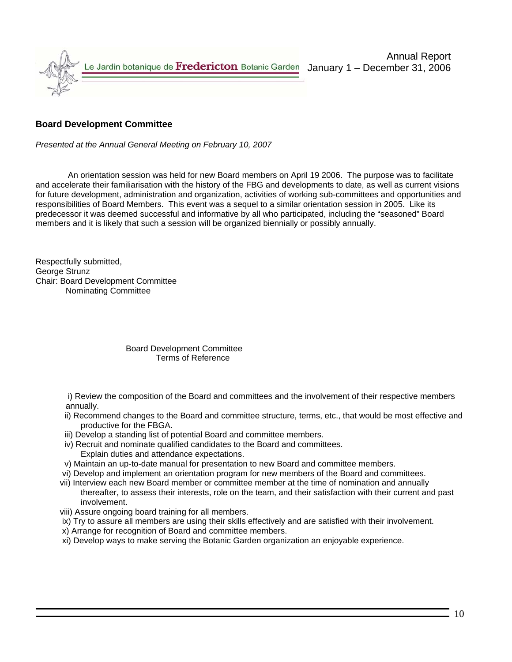

### **Board Development Committee**

*Presented at the Annual General Meeting on February 10, 2007* 

 An orientation session was held for new Board members on April 19 2006. The purpose was to facilitate and accelerate their familiarisation with the history of the FBG and developments to date, as well as current visions for future development, administration and organization, activities of working sub-committees and opportunities and responsibilities of Board Members. This event was a sequel to a similar orientation session in 2005. Like its predecessor it was deemed successful and informative by all who participated, including the "seasoned" Board members and it is likely that such a session will be organized biennially or possibly annually.

Respectfully submitted, George Strunz Chair: Board Development Committee Nominating Committee

#### Board Development Committee Terms of Reference

 i) Review the composition of the Board and committees and the involvement of their respective members annually.

- ii) Recommend changes to the Board and committee structure, terms, etc., that would be most effective and productive for the FBGA.
- iii) Develop a standing list of potential Board and committee members.
- iv) Recruit and nominate qualified candidates to the Board and committees.
	- Explain duties and attendance expectations.
- v) Maintain an up-to-date manual for presentation to new Board and committee members.
- vi) Develop and implement an orientation program for new members of the Board and committees.
- vii) Interview each new Board member or committee member at the time of nomination and annually thereafter, to assess their interests, role on the team, and their satisfaction with their current and past involvement.
- viii) Assure ongoing board training for all members.
- ix) Try to assure all members are using their skills effectively and are satisfied with their involvement.
- x) Arrange for recognition of Board and committee members.
- xi) Develop ways to make serving the Botanic Garden organization an enjoyable experience.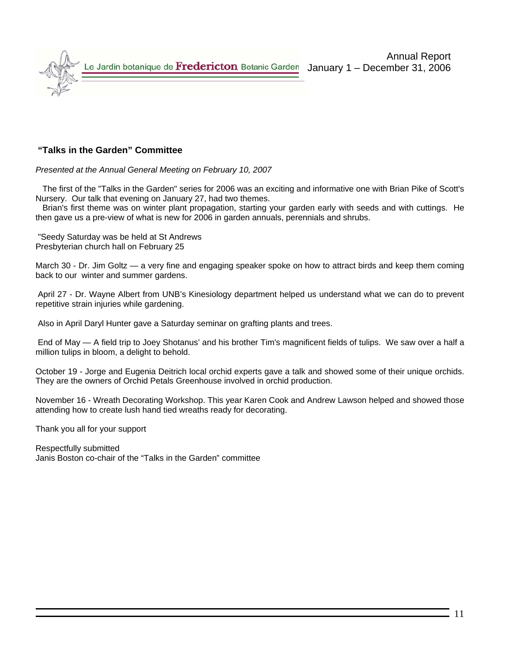

#### **"Talks in the Garden" Committee**

*Presented at the Annual General Meeting on February 10, 2007* 

 The first of the "Talks in the Garden" series for 2006 was an exciting and informative one with Brian Pike of Scott's Nursery. Our talk that evening on January 27, had two themes.

 Brian's first theme was on winter plant propagation, starting your garden early with seeds and with cuttings. He then gave us a pre-view of what is new for 2006 in garden annuals, perennials and shrubs.

 "Seedy Saturday was be held at St Andrews Presbyterian church hall on February 25

March 30 - Dr. Jim Goltz — a very fine and engaging speaker spoke on how to attract birds and keep them coming back to our winter and summer gardens.

 April 27 - Dr. Wayne Albert from UNB's Kinesiology department helped us understand what we can do to prevent repetitive strain injuries while gardening.

Also in April Daryl Hunter gave a Saturday seminar on grafting plants and trees.

 End of May — A field trip to Joey Shotanus' and his brother Tim's magnificent fields of tulips. We saw over a half a million tulips in bloom, a delight to behold.

October 19 - Jorge and Eugenia Deitrich local orchid experts gave a talk and showed some of their unique orchids. They are the owners of Orchid Petals Greenhouse involved in orchid production.

November 16 - Wreath Decorating Workshop. This year Karen Cook and Andrew Lawson helped and showed those attending how to create lush hand tied wreaths ready for decorating.

Thank you all for your support

Respectfully submitted Janis Boston co-chair of the "Talks in the Garden" committee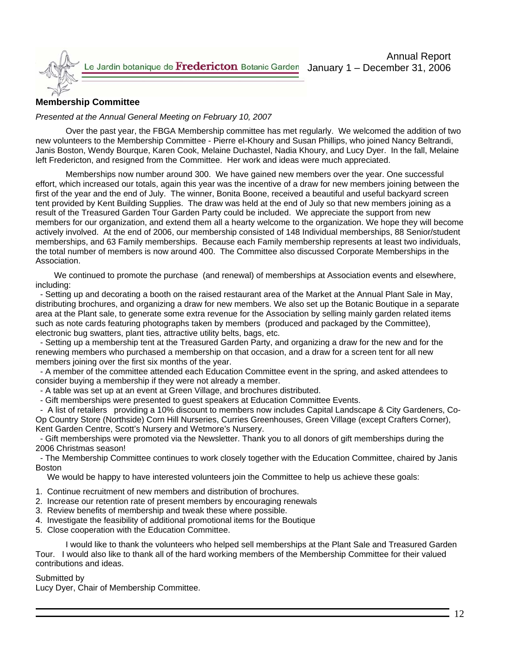

### **Membership Committee**

#### *Presented at the Annual General Meeting on February 10, 2007*

Over the past year, the FBGA Membership committee has met regularly. We welcomed the addition of two new volunteers to the Membership Committee - Pierre el-Khoury and Susan Phillips, who joined Nancy Beltrandi, Janis Boston, Wendy Bourque, Karen Cook, Melaine Duchastel, Nadia Khoury, and Lucy Dyer. In the fall, Melaine left Fredericton, and resigned from the Committee. Her work and ideas were much appreciated.

Memberships now number around 300. We have gained new members over the year. One successful effort, which increased our totals, again this year was the incentive of a draw for new members joining between the first of the year and the end of July. The winner, Bonita Boone, received a beautiful and useful backyard screen tent provided by Kent Building Supplies. The draw was held at the end of July so that new members joining as a result of the Treasured Garden Tour Garden Party could be included. We appreciate the support from new members for our organization, and extend them all a hearty welcome to the organization. We hope they will become actively involved. At the end of 2006, our membership consisted of 148 Individual memberships, 88 Senior/student memberships, and 63 Family memberships. Because each Family membership represents at least two individuals, the total number of members is now around 400. The Committee also discussed Corporate Memberships in the Association.

 We continued to promote the purchase (and renewal) of memberships at Association events and elsewhere, including:

 - Setting up and decorating a booth on the raised restaurant area of the Market at the Annual Plant Sale in May, distributing brochures, and organizing a draw for new members. We also set up the Botanic Boutique in a separate area at the Plant sale, to generate some extra revenue for the Association by selling mainly garden related items such as note cards featuring photographs taken by members (produced and packaged by the Committee), electronic bug swatters, plant ties, attractive utility belts, bags, etc.

 - Setting up a membership tent at the Treasured Garden Party, and organizing a draw for the new and for the renewing members who purchased a membership on that occasion, and a draw for a screen tent for all new members joining over the first six months of the year.

 - A member of the committee attended each Education Committee event in the spring, and asked attendees to consider buying a membership if they were not already a member.

- A table was set up at an event at Green Village, and brochures distributed.
- Gift memberships were presented to guest speakers at Education Committee Events.

 - A list of retailers providing a 10% discount to members now includes Capital Landscape & City Gardeners, Co-Op Country Store (Northside) Corn Hill Nurseries, Curries Greenhouses, Green Village (except Crafters Corner), Kent Garden Centre, Scott's Nursery and Wetmore's Nursery.

 - Gift memberships were promoted via the Newsletter. Thank you to all donors of gift memberships during the 2006 Christmas season!

 - The Membership Committee continues to work closely together with the Education Committee, chaired by Janis Boston

We would be happy to have interested volunteers join the Committee to help us achieve these goals:

- 1. Continue recruitment of new members and distribution of brochures.
- 2. Increase our retention rate of present members by encouraging renewals
- 3. Review benefits of membership and tweak these where possible.
- 4. Investigate the feasibility of additional promotional items for the Boutique
- 5. Close cooperation with the Education Committee.

I would like to thank the volunteers who helped sell memberships at the Plant Sale and Treasured Garden Tour. I would also like to thank all of the hard working members of the Membership Committee for their valued contributions and ideas.

#### Submitted by

Lucy Dyer, Chair of Membership Committee.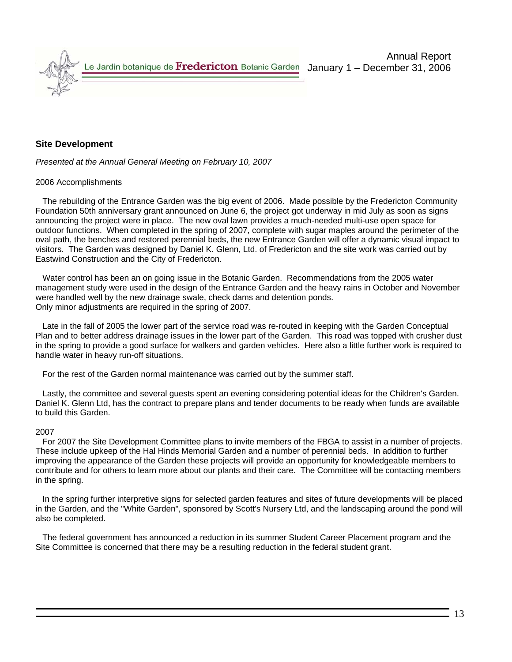#### **Site Development**

*Presented at the Annual General Meeting on February 10, 2007* 

#### 2006 Accomplishments

 The rebuilding of the Entrance Garden was the big event of 2006. Made possible by the Fredericton Community Foundation 50th anniversary grant announced on June 6, the project got underway in mid July as soon as signs announcing the project were in place. The new oval lawn provides a much-needed multi-use open space for outdoor functions. When completed in the spring of 2007, complete with sugar maples around the perimeter of the oval path, the benches and restored perennial beds, the new Entrance Garden will offer a dynamic visual impact to visitors. The Garden was designed by Daniel K. Glenn, Ltd. of Fredericton and the site work was carried out by Eastwind Construction and the City of Fredericton.

 Water control has been an on going issue in the Botanic Garden. Recommendations from the 2005 water management study were used in the design of the Entrance Garden and the heavy rains in October and November were handled well by the new drainage swale, check dams and detention ponds. Only minor adjustments are required in the spring of 2007.

 Late in the fall of 2005 the lower part of the service road was re-routed in keeping with the Garden Conceptual Plan and to better address drainage issues in the lower part of the Garden. This road was topped with crusher dust in the spring to provide a good surface for walkers and garden vehicles. Here also a little further work is required to handle water in heavy run-off situations.

For the rest of the Garden normal maintenance was carried out by the summer staff.

 Lastly, the committee and several guests spent an evening considering potential ideas for the Children's Garden. Daniel K. Glenn Ltd, has the contract to prepare plans and tender documents to be ready when funds are available to build this Garden.

#### 2007

 For 2007 the Site Development Committee plans to invite members of the FBGA to assist in a number of projects. These include upkeep of the Hal Hinds Memorial Garden and a number of perennial beds. In addition to further improving the appearance of the Garden these projects will provide an opportunity for knowledgeable members to contribute and for others to learn more about our plants and their care. The Committee will be contacting members in the spring.

 In the spring further interpretive signs for selected garden features and sites of future developments will be placed in the Garden, and the "White Garden", sponsored by Scott's Nursery Ltd, and the landscaping around the pond will also be completed.

 The federal government has announced a reduction in its summer Student Career Placement program and the Site Committee is concerned that there may be a resulting reduction in the federal student grant.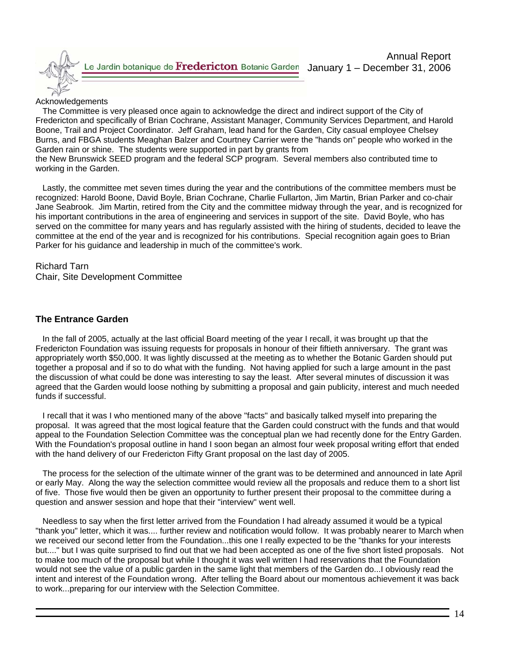

#### Acknowledgements

 The Committee is very pleased once again to acknowledge the direct and indirect support of the City of Fredericton and specifically of Brian Cochrane, Assistant Manager, Community Services Department, and Harold Boone, Trail and Project Coordinator. Jeff Graham, lead hand for the Garden, City casual employee Chelsey Burns, and FBGA students Meaghan Balzer and Courtney Carrier were the "hands on" people who worked in the Garden rain or shine. The students were supported in part by grants from

the New Brunswick SEED program and the federal SCP program. Several members also contributed time to working in the Garden.

 Lastly, the committee met seven times during the year and the contributions of the committee members must be recognized: Harold Boone, David Boyle, Brian Cochrane, Charlie Fullarton, Jim Martin, Brian Parker and co-chair Jane Seabrook. Jim Martin, retired from the City and the committee midway through the year, and is recognized for his important contributions in the area of engineering and services in support of the site. David Boyle, who has served on the committee for many years and has regularly assisted with the hiring of students, decided to leave the committee at the end of the year and is recognized for his contributions. Special recognition again goes to Brian Parker for his guidance and leadership in much of the committee's work.

# Richard Tarn

Chair, Site Development Committee

### **The Entrance Garden**

 In the fall of 2005, actually at the last official Board meeting of the year I recall, it was brought up that the Fredericton Foundation was issuing requests for proposals in honour of their fiftieth anniversary. The grant was appropriately worth \$50,000. It was lightly discussed at the meeting as to whether the Botanic Garden should put together a proposal and if so to do what with the funding. Not having applied for such a large amount in the past the discussion of what could be done was interesting to say the least. After several minutes of discussion it was agreed that the Garden would loose nothing by submitting a proposal and gain publicity, interest and much needed funds if successful.

 I recall that it was I who mentioned many of the above "facts" and basically talked myself into preparing the proposal. It was agreed that the most logical feature that the Garden could construct with the funds and that would appeal to the Foundation Selection Committee was the conceptual plan we had recently done for the Entry Garden. With the Foundation's proposal outline in hand I soon began an almost four week proposal writing effort that ended with the hand delivery of our Fredericton Fifty Grant proposal on the last day of 2005.

 The process for the selection of the ultimate winner of the grant was to be determined and announced in late April or early May. Along the way the selection committee would review all the proposals and reduce them to a short list of five. Those five would then be given an opportunity to further present their proposal to the committee during a question and answer session and hope that their "interview" went well.

 Needless to say when the first letter arrived from the Foundation I had already assumed it would be a typical "thank you" letter, which it was.... further review and notification would follow. It was probably nearer to March when we received our second letter from the Foundation...this one I really expected to be the "thanks for your interests but...." but I was quite surprised to find out that we had been accepted as one of the five short listed proposals. Not to make too much of the proposal but while I thought it was well written I had reservations that the Foundation would not see the value of a public garden in the same light that members of the Garden do...I obviously read the intent and interest of the Foundation wrong. After telling the Board about our momentous achievement it was back to work...preparing for our interview with the Selection Committee.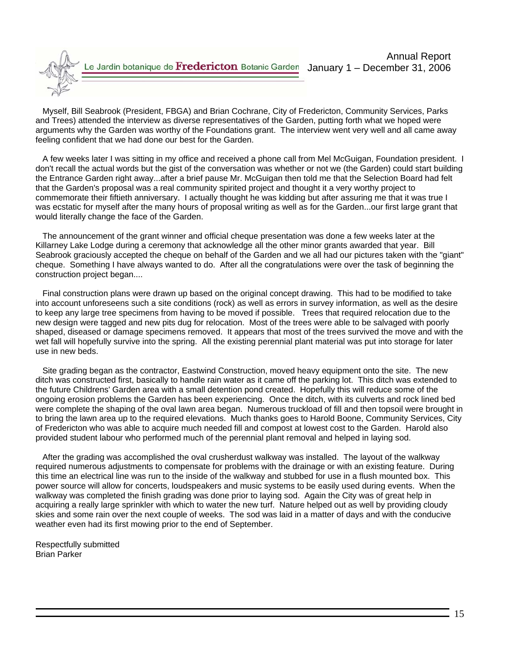Myself, Bill Seabrook (President, FBGA) and Brian Cochrane, City of Fredericton, Community Services, Parks and Trees) attended the interview as diverse representatives of the Garden, putting forth what we hoped were arguments why the Garden was worthy of the Foundations grant. The interview went very well and all came away feeling confident that we had done our best for the Garden.

 A few weeks later I was sitting in my office and received a phone call from Mel McGuigan, Foundation president. I don't recall the actual words but the gist of the conversation was whether or not we (the Garden) could start building the Entrance Garden right away...after a brief pause Mr. McGuigan then told me that the Selection Board had felt that the Garden's proposal was a real community spirited project and thought it a very worthy project to commemorate their fiftieth anniversary. I actually thought he was kidding but after assuring me that it was true I was ecstatic for myself after the many hours of proposal writing as well as for the Garden...our first large grant that would literally change the face of the Garden.

 The announcement of the grant winner and official cheque presentation was done a few weeks later at the Killarney Lake Lodge during a ceremony that acknowledge all the other minor grants awarded that year. Bill Seabrook graciously accepted the cheque on behalf of the Garden and we all had our pictures taken with the "giant" cheque. Something I have always wanted to do. After all the congratulations were over the task of beginning the construction project began....

 Final construction plans were drawn up based on the original concept drawing. This had to be modified to take into account unforeseens such a site conditions (rock) as well as errors in survey information, as well as the desire to keep any large tree specimens from having to be moved if possible. Trees that required relocation due to the new design were tagged and new pits dug for relocation. Most of the trees were able to be salvaged with poorly shaped, diseased or damage specimens removed. It appears that most of the trees survived the move and with the wet fall will hopefully survive into the spring. All the existing perennial plant material was put into storage for later use in new beds.

 Site grading began as the contractor, Eastwind Construction, moved heavy equipment onto the site. The new ditch was constructed first, basically to handle rain water as it came off the parking lot. This ditch was extended to the future Childrens' Garden area with a small detention pond created. Hopefully this will reduce some of the ongoing erosion problems the Garden has been experiencing. Once the ditch, with its culverts and rock lined bed were complete the shaping of the oval lawn area began. Numerous truckload of fill and then topsoil were brought in to bring the lawn area up to the required elevations. Much thanks goes to Harold Boone, Community Services, City of Fredericton who was able to acquire much needed fill and compost at lowest cost to the Garden. Harold also provided student labour who performed much of the perennial plant removal and helped in laying sod.

 After the grading was accomplished the oval crusherdust walkway was installed. The layout of the walkway required numerous adjustments to compensate for problems with the drainage or with an existing feature. During this time an electrical line was run to the inside of the walkway and stubbed for use in a flush mounted box. This power source will allow for concerts, loudspeakers and music systems to be easily used during events. When the walkway was completed the finish grading was done prior to laying sod. Again the City was of great help in acquiring a really large sprinkler with which to water the new turf. Nature helped out as well by providing cloudy skies and some rain over the next couple of weeks. The sod was laid in a matter of days and with the conducive weather even had its first mowing prior to the end of September.

Respectfully submitted Brian Parker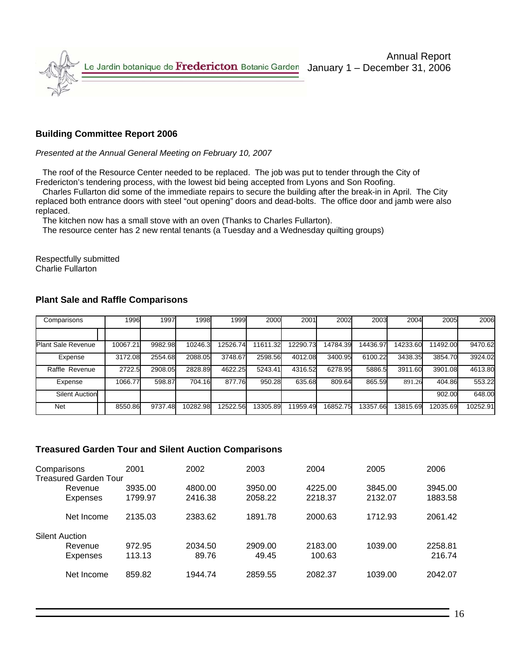

### **Building Committee Report 2006**

#### *Presented at the Annual General Meeting on February 10, 2007*

 The roof of the Resource Center needed to be replaced. The job was put to tender through the City of Fredericton's tendering process, with the lowest bid being accepted from Lyons and Son Roofing.

 Charles Fullarton did some of the immediate repairs to secure the building after the break-in in April. The City replaced both entrance doors with steel "out opening" doors and dead-bolts. The office door and jamb were also replaced.

The kitchen now has a small stove with an oven (Thanks to Charles Fullarton).

The resource center has 2 new rental tenants (a Tuesday and a Wednesday quilting groups)

Respectfully submitted Charlie Fullarton

| Comparisons               | 1996     | 1997    | 1998     | 1999     | 2000     | 2001     | 2002     | 2003     | 2004     | 2005     | 2006     |
|---------------------------|----------|---------|----------|----------|----------|----------|----------|----------|----------|----------|----------|
|                           |          |         |          |          |          |          |          |          |          |          |          |
| <b>Plant Sale Revenue</b> | 10067.21 | 9982.98 | 10246.3  | 12526.74 | 11611.32 | 12290.73 | 14784.39 | 14436.97 | 14233.60 | 1492.00  | 9470.62  |
| Expense                   | 3172.08  | 2554.68 | 2088.05  | 3748.67  | 2598.56  | 4012.08  | 3400.95  | 6100.22  | 3438.35  | 3854.70  | 3924.02  |
| Raffle Revenue            | 2722.5   | 2908.05 | 2828.89  | 4622.25  | 5243.41  | 4316.52  | 6278.95  | 5886.5   | 3911.60  | 3901.08  | 4613.80  |
| Expense                   | 1066.77  | 598.87  | 704.16   | 877.76   | 950.28   | 635.68   | 809.64   | 865.59   | 891.26   | 404.86   | 553.22   |
| <b>Silent Auction</b>     |          |         |          |          |          |          |          |          |          | 902.00   | 648.00   |
| Net                       | 8550.86  | 9737.48 | 10282.98 | 12522.56 | 13305.89 | 11959.49 | 16852.75 | 13357.66 | 13815.69 | 12035.69 | 10252.91 |

#### **Plant Sale and Raffle Comparisons**

#### **Treasured Garden Tour and Silent Auction Comparisons**

| Comparisons           |                              | 2001    | 2002    | 2003    | 2004    | 2005    | 2006    |
|-----------------------|------------------------------|---------|---------|---------|---------|---------|---------|
|                       | <b>Treasured Garden Tour</b> |         |         |         |         |         |         |
|                       | Revenue                      | 3935.00 | 4800.00 | 3950.00 | 4225.00 | 3845.00 | 3945.00 |
|                       | Expenses                     | 1799.97 | 2416.38 | 2058.22 | 2218.37 | 2132.07 | 1883.58 |
|                       | Net Income                   | 2135.03 | 2383.62 | 1891.78 | 2000.63 | 1712.93 | 2061.42 |
| <b>Silent Auction</b> |                              |         |         |         |         |         |         |
|                       | Revenue                      | 972.95  | 2034.50 | 2909.00 | 2183.00 | 1039.00 | 2258.81 |
|                       | <b>Expenses</b>              | 113.13  | 89.76   | 49.45   | 100.63  |         | 216.74  |
|                       | Net Income                   | 859.82  | 1944.74 | 2859.55 | 2082.37 | 1039.00 | 2042.07 |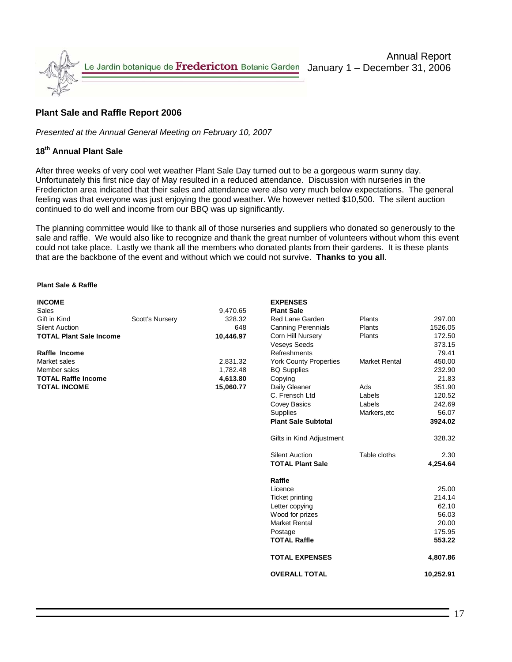

### **Plant Sale and Raffle Report 2006**

*Presented at the Annual General Meeting on February 10, 2007* 

#### **18th Annual Plant Sale**

After three weeks of very cool wet weather Plant Sale Day turned out to be a gorgeous warm sunny day. Unfortunately this first nice day of May resulted in a reduced attendance. Discussion with nurseries in the Fredericton area indicated that their sales and attendance were also very much below expectations. The general feeling was that everyone was just enjoying the good weather. We however netted \$10,500. The silent auction continued to do well and income from our BBQ was up significantly.

The planning committee would like to thank all of those nurseries and suppliers who donated so generously to the sale and raffle. We would also like to recognize and thank the great number of volunteers without whom this event could not take place. Lastly we thank all the members who donated plants from their gardens. It is these plants that are the backbone of the event and without which we could not survive. **Thanks to you all**.

#### **Plant Sale & Raffle**

| <b>INCOME</b>                  |                 |           | <b>EXPENSES</b>               |                      |         |
|--------------------------------|-----------------|-----------|-------------------------------|----------------------|---------|
| Sales                          |                 | 9,470.65  | <b>Plant Sale</b>             |                      |         |
| Gift in Kind                   | Scott's Nursery | 328.32    | Red Lane Garden               | Plants               | 297.00  |
| Silent Auction                 |                 | 648       | <b>Canning Perennials</b>     | Plants               | 1526.05 |
| <b>TOTAL Plant Sale Income</b> |                 | 10,446.97 | Corn Hill Nursery             | <b>Plants</b>        | 172.50  |
|                                |                 |           | <b>Veseys Seeds</b>           |                      | 373.15  |
| Raffle Income                  |                 |           | Refreshments                  |                      | 79.41   |
| Market sales                   |                 | 2,831.32  | <b>York County Properties</b> | <b>Market Rental</b> | 450.00  |
| Member sales                   |                 | 1,782.48  | <b>BQ Supplies</b>            |                      | 232.90  |
| <b>TOTAL Raffle Income</b>     |                 | 4.613.80  | Copying                       |                      | 21.83   |
| <b>TOTAL INCOME</b>            |                 | 15,060.77 | Daily Gleaner                 | Ads                  | 351.90  |
|                                |                 |           | C. Frensch Ltd.               | ahels                | 120.52  |

| LAFLINJLJ                     |                      |           |
|-------------------------------|----------------------|-----------|
| <b>Plant Sale</b>             |                      |           |
| Red Lane Garden               | Plants               | 297.00    |
| <b>Canning Perennials</b>     | Plants               | 1526.05   |
| Corn Hill Nursery             | Plants               | 172.50    |
| <b>Veseys Seeds</b>           |                      | 373.15    |
| Refreshments                  |                      | 79.41     |
| <b>York County Properties</b> | <b>Market Rental</b> | 450.00    |
| <b>BQ Supplies</b>            |                      | 232.90    |
| Copying                       |                      | 21.83     |
| Daily Gleaner                 | Ads                  | 351.90    |
| C. Frensch Ltd                | Labels               | 120.52    |
| <b>Covey Basics</b>           | Labels               | 242.69    |
| <b>Supplies</b>               | Markers, etc         | 56.07     |
| <b>Plant Sale Subtotal</b>    |                      | 3924.02   |
|                               |                      |           |
| Gifts in Kind Adjustment      |                      | 328.32    |
| <b>Silent Auction</b>         | Table cloths         | 2.30      |
| <b>TOTAL Plant Sale</b>       |                      | 4.254.64  |
|                               |                      |           |
| Raffle                        |                      |           |
| Licence                       |                      | 25.00     |
| <b>Ticket printing</b>        |                      | 214.14    |
| Letter copying                |                      | 62.10     |
| Wood for prizes               |                      | 56.03     |
| <b>Market Rental</b>          |                      | 20.00     |
| Postage                       |                      | 175.95    |
| <b>TOTAL Raffle</b>           |                      | 553.22    |
| <b>TOTAL EXPENSES</b>         |                      | 4,807.86  |
| <b>OVERALL TOTAL</b>          |                      | 10,252.91 |
|                               |                      |           |